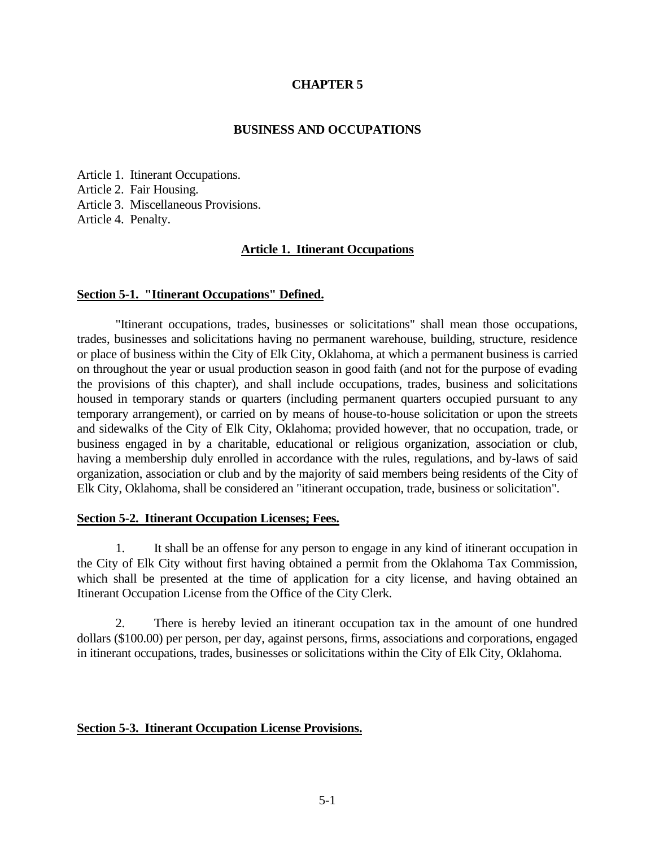### **CHAPTER 5**

#### **BUSINESS AND OCCUPATIONS**

Article 1. Itinerant Occupations. Article 2. Fair Housing. Article 3. Miscellaneous Provisions. Article 4. Penalty.

#### **Article 1. Itinerant Occupations**

#### **Section 5-1. "Itinerant Occupations" Defined.**

"Itinerant occupations, trades, businesses or solicitations" shall mean those occupations, trades, businesses and solicitations having no permanent warehouse, building, structure, residence or place of business within the City of Elk City, Oklahoma, at which a permanent business is carried on throughout the year or usual production season in good faith (and not for the purpose of evading the provisions of this chapter), and shall include occupations, trades, business and solicitations housed in temporary stands or quarters (including permanent quarters occupied pursuant to any temporary arrangement), or carried on by means of house-to-house solicitation or upon the streets and sidewalks of the City of Elk City, Oklahoma; provided however, that no occupation, trade, or business engaged in by a charitable, educational or religious organization, association or club, having a membership duly enrolled in accordance with the rules, regulations, and by-laws of said organization, association or club and by the majority of said members being residents of the City of Elk City, Oklahoma, shall be considered an "itinerant occupation, trade, business or solicitation".

#### **Section 5-2. Itinerant Occupation Licenses; Fees.**

1. It shall be an offense for any person to engage in any kind of itinerant occupation in the City of Elk City without first having obtained a permit from the Oklahoma Tax Commission, which shall be presented at the time of application for a city license, and having obtained an Itinerant Occupation License from the Office of the City Clerk.

2. There is hereby levied an itinerant occupation tax in the amount of one hundred dollars (\$100.00) per person, per day, against persons, firms, associations and corporations, engaged in itinerant occupations, trades, businesses or solicitations within the City of Elk City, Oklahoma.

#### **Section 5-3. Itinerant Occupation License Provisions.**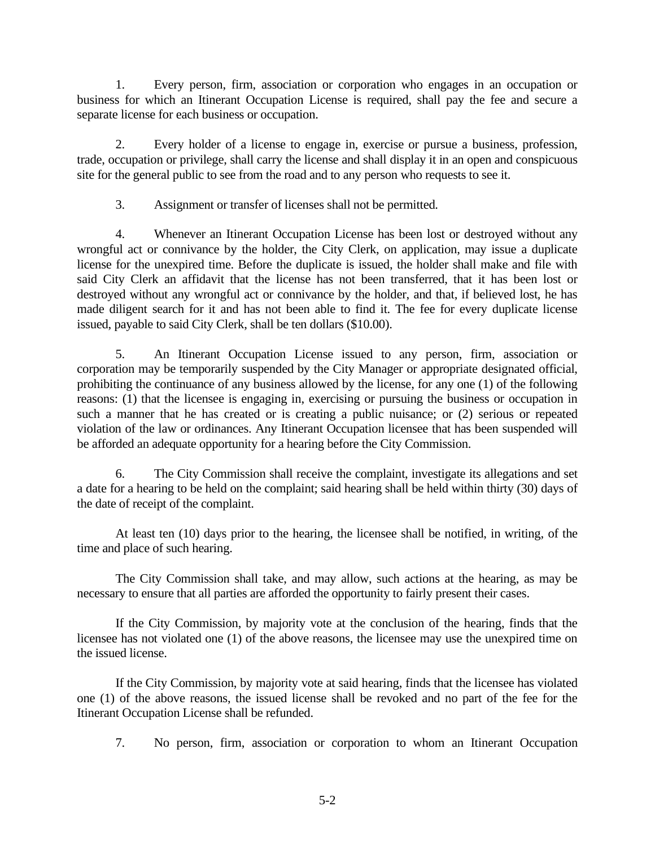1. Every person, firm, association or corporation who engages in an occupation or business for which an Itinerant Occupation License is required, shall pay the fee and secure a separate license for each business or occupation.

2. Every holder of a license to engage in, exercise or pursue a business, profession, trade, occupation or privilege, shall carry the license and shall display it in an open and conspicuous site for the general public to see from the road and to any person who requests to see it.

3. Assignment or transfer of licenses shall not be permitted.

4. Whenever an Itinerant Occupation License has been lost or destroyed without any wrongful act or connivance by the holder, the City Clerk, on application, may issue a duplicate license for the unexpired time. Before the duplicate is issued, the holder shall make and file with said City Clerk an affidavit that the license has not been transferred, that it has been lost or destroyed without any wrongful act or connivance by the holder, and that, if believed lost, he has made diligent search for it and has not been able to find it. The fee for every duplicate license issued, payable to said City Clerk, shall be ten dollars (\$10.00).

5. An Itinerant Occupation License issued to any person, firm, association or corporation may be temporarily suspended by the City Manager or appropriate designated official, prohibiting the continuance of any business allowed by the license, for any one (1) of the following reasons: (1) that the licensee is engaging in, exercising or pursuing the business or occupation in such a manner that he has created or is creating a public nuisance; or (2) serious or repeated violation of the law or ordinances. Any Itinerant Occupation licensee that has been suspended will be afforded an adequate opportunity for a hearing before the City Commission.

6. The City Commission shall receive the complaint, investigate its allegations and set a date for a hearing to be held on the complaint; said hearing shall be held within thirty (30) days of the date of receipt of the complaint.

At least ten (10) days prior to the hearing, the licensee shall be notified, in writing, of the time and place of such hearing.

The City Commission shall take, and may allow, such actions at the hearing, as may be necessary to ensure that all parties are afforded the opportunity to fairly present their cases.

If the City Commission, by majority vote at the conclusion of the hearing, finds that the licensee has not violated one (1) of the above reasons, the licensee may use the unexpired time on the issued license.

If the City Commission, by majority vote at said hearing, finds that the licensee has violated one (1) of the above reasons, the issued license shall be revoked and no part of the fee for the Itinerant Occupation License shall be refunded.

7. No person, firm, association or corporation to whom an Itinerant Occupation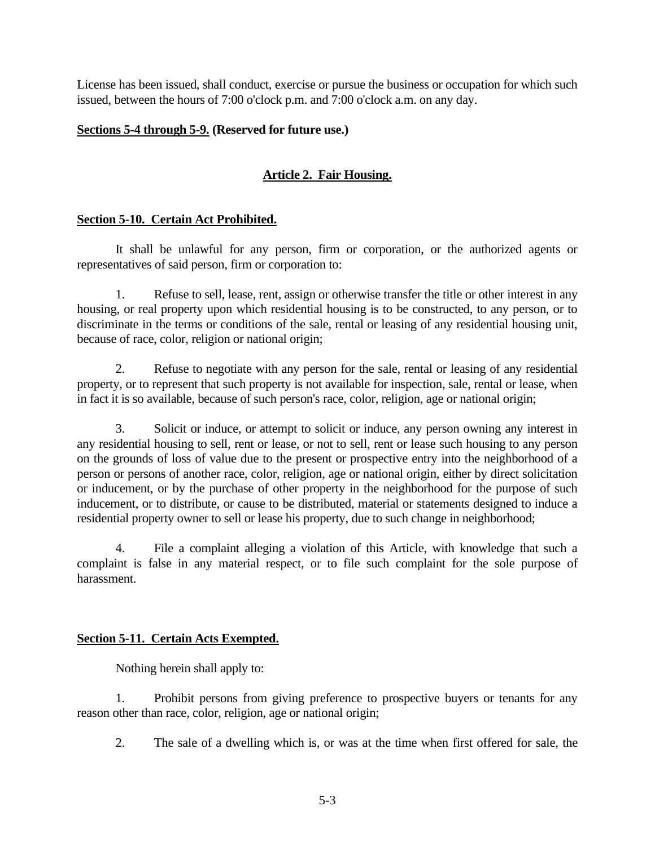License has been issued, shall conduct, exercise or pursue the business or occupation for which such issued, between the hours of 7:00 o'clock p.m. and 7:00 o'clock a.m. on any day.

## **Sections 5-4 through 5-9. (Reserved for future use.)**

# **Article 2. Fair Housing.**

## **Section 5-10. Certain Act Prohibited.**

It shall be unlawful for any person, firm or corporation, or the authorized agents or representatives of said person, firm or corporation to:

1. Refuse to sell, lease, rent, assign or otherwise transfer the title or other interest in any housing, or real property upon which residential housing is to be constructed, to any person, or to discriminate in the terms or conditions of the sale, rental or leasing of any residential housing unit, because of race, color, religion or national origin;

2. Refuse to negotiate with any person for the sale, rental or leasing of any residential property, or to represent that such property is not available for inspection, sale, rental or lease, when in fact it is so available, because of such person's race, color, religion, age or national origin;

3. Solicit or induce, or attempt to solicit or induce, any person owning any interest in any residential housing to sell, rent or lease, or not to sell, rent or lease such housing to any person on the grounds of loss of value due to the present or prospective entry into the neighborhood of a person or persons of another race, color, religion, age or national origin, either by direct solicitation or inducement, or by the purchase of other property in the neighborhood for the purpose of such inducement, or to distribute, or cause to be distributed, material or statements designed to induce a residential property owner to sell or lease his property, due to such change in neighborhood;

4. File a complaint alleging a violation of this Article, with knowledge that such a complaint is false in any material respect, or to file such complaint for the sole purpose of harassment.

### **Section 5-11. Certain Acts Exempted.**

Nothing herein shall apply to:

1. Prohibit persons from giving preference to prospective buyers or tenants for any reason other than race, color, religion, age or national origin;

2. The sale of a dwelling which is, or was at the time when first offered for sale, the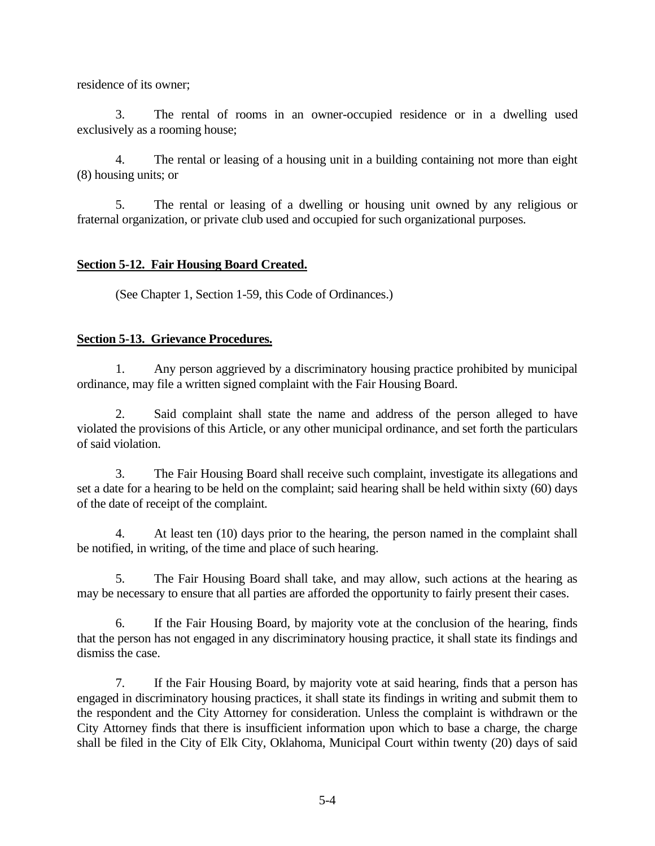residence of its owner;

3. The rental of rooms in an owner-occupied residence or in a dwelling used exclusively as a rooming house;

4. The rental or leasing of a housing unit in a building containing not more than eight (8) housing units; or

5. The rental or leasing of a dwelling or housing unit owned by any religious or fraternal organization, or private club used and occupied for such organizational purposes.

## **Section 5-12. Fair Housing Board Created.**

(See Chapter 1, Section 1-59, this Code of Ordinances.)

## **Section 5-13. Grievance Procedures.**

1. Any person aggrieved by a discriminatory housing practice prohibited by municipal ordinance, may file a written signed complaint with the Fair Housing Board.

2. Said complaint shall state the name and address of the person alleged to have violated the provisions of this Article, or any other municipal ordinance, and set forth the particulars of said violation.

3. The Fair Housing Board shall receive such complaint, investigate its allegations and set a date for a hearing to be held on the complaint; said hearing shall be held within sixty (60) days of the date of receipt of the complaint.

4. At least ten (10) days prior to the hearing, the person named in the complaint shall be notified, in writing, of the time and place of such hearing.

5. The Fair Housing Board shall take, and may allow, such actions at the hearing as may be necessary to ensure that all parties are afforded the opportunity to fairly present their cases.

6. If the Fair Housing Board, by majority vote at the conclusion of the hearing, finds that the person has not engaged in any discriminatory housing practice, it shall state its findings and dismiss the case.

7. If the Fair Housing Board, by majority vote at said hearing, finds that a person has engaged in discriminatory housing practices, it shall state its findings in writing and submit them to the respondent and the City Attorney for consideration. Unless the complaint is withdrawn or the City Attorney finds that there is insufficient information upon which to base a charge, the charge shall be filed in the City of Elk City, Oklahoma, Municipal Court within twenty (20) days of said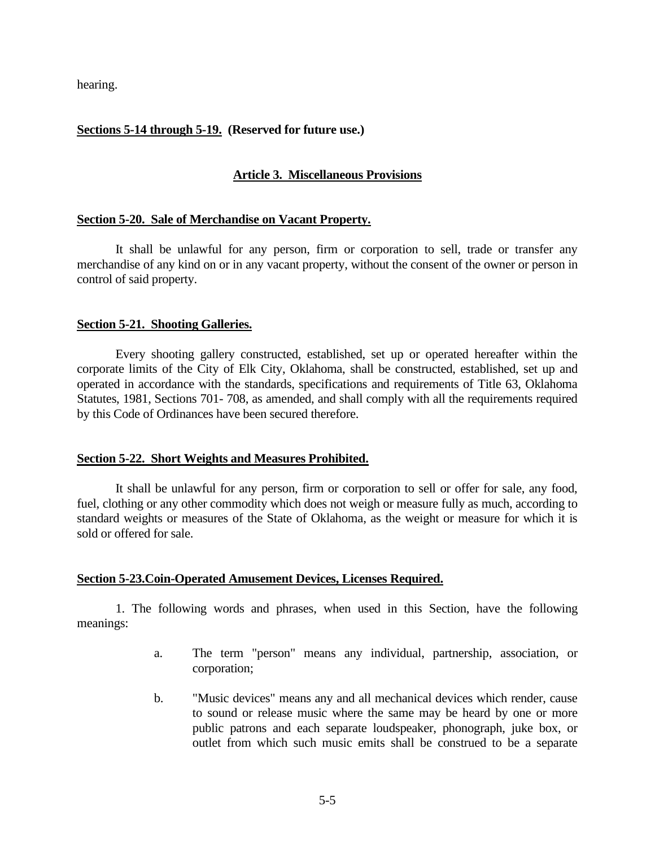hearing.

# **Sections 5-14 through 5-19. (Reserved for future use.)**

## **Article 3. Miscellaneous Provisions**

### **Section 5-20. Sale of Merchandise on Vacant Property.**

It shall be unlawful for any person, firm or corporation to sell, trade or transfer any merchandise of any kind on or in any vacant property, without the consent of the owner or person in control of said property.

#### **Section 5-21. Shooting Galleries.**

Every shooting gallery constructed, established, set up or operated hereafter within the corporate limits of the City of Elk City, Oklahoma, shall be constructed, established, set up and operated in accordance with the standards, specifications and requirements of Title 63, Oklahoma Statutes, 1981, Sections 701- 708, as amended, and shall comply with all the requirements required by this Code of Ordinances have been secured therefore.

#### **Section 5-22. Short Weights and Measures Prohibited.**

It shall be unlawful for any person, firm or corporation to sell or offer for sale, any food, fuel, clothing or any other commodity which does not weigh or measure fully as much, according to standard weights or measures of the State of Oklahoma, as the weight or measure for which it is sold or offered for sale.

### **Section 5-23.Coin-Operated Amusement Devices, Licenses Required.**

1. The following words and phrases, when used in this Section, have the following meanings:

- a. The term "person" means any individual, partnership, association, or corporation;
- b. "Music devices" means any and all mechanical devices which render, cause to sound or release music where the same may be heard by one or more public patrons and each separate loudspeaker, phonograph, juke box, or outlet from which such music emits shall be construed to be a separate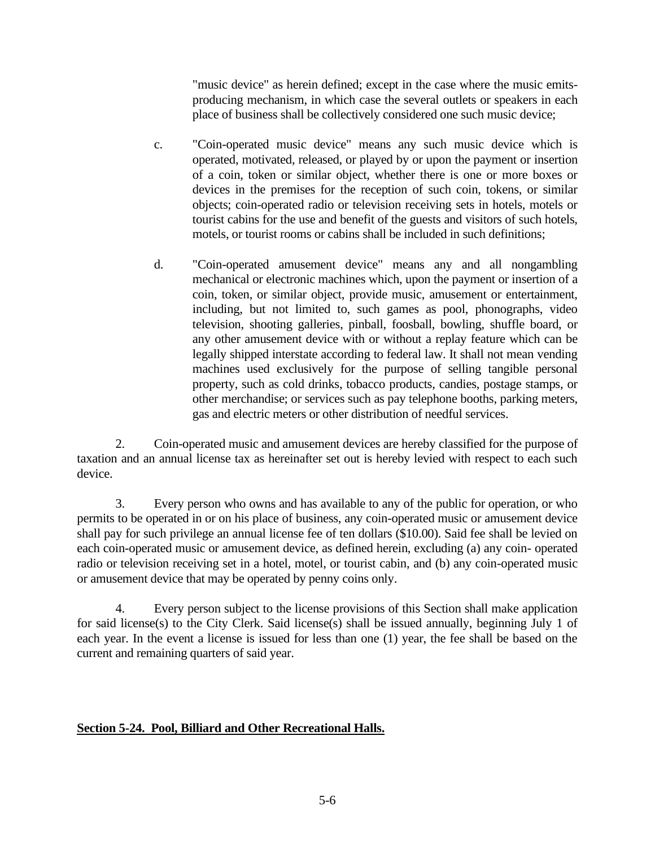"music device" as herein defined; except in the case where the music emitsproducing mechanism, in which case the several outlets or speakers in each place of business shall be collectively considered one such music device;

- c. "Coin-operated music device" means any such music device which is operated, motivated, released, or played by or upon the payment or insertion of a coin, token or similar object, whether there is one or more boxes or devices in the premises for the reception of such coin, tokens, or similar objects; coin-operated radio or television receiving sets in hotels, motels or tourist cabins for the use and benefit of the guests and visitors of such hotels, motels, or tourist rooms or cabins shall be included in such definitions;
- d. "Coin-operated amusement device" means any and all nongambling mechanical or electronic machines which, upon the payment or insertion of a coin, token, or similar object, provide music, amusement or entertainment, including, but not limited to, such games as pool, phonographs, video television, shooting galleries, pinball, foosball, bowling, shuffle board, or any other amusement device with or without a replay feature which can be legally shipped interstate according to federal law. It shall not mean vending machines used exclusively for the purpose of selling tangible personal property, such as cold drinks, tobacco products, candies, postage stamps, or other merchandise; or services such as pay telephone booths, parking meters, gas and electric meters or other distribution of needful services.

2. Coin-operated music and amusement devices are hereby classified for the purpose of taxation and an annual license tax as hereinafter set out is hereby levied with respect to each such device.

3. Every person who owns and has available to any of the public for operation, or who permits to be operated in or on his place of business, any coin-operated music or amusement device shall pay for such privilege an annual license fee of ten dollars (\$10.00). Said fee shall be levied on each coin-operated music or amusement device, as defined herein, excluding (a) any coin- operated radio or television receiving set in a hotel, motel, or tourist cabin, and (b) any coin-operated music or amusement device that may be operated by penny coins only.

4. Every person subject to the license provisions of this Section shall make application for said license(s) to the City Clerk. Said license(s) shall be issued annually, beginning July 1 of each year. In the event a license is issued for less than one (1) year, the fee shall be based on the current and remaining quarters of said year.

# **Section 5-24. Pool, Billiard and Other Recreational Halls.**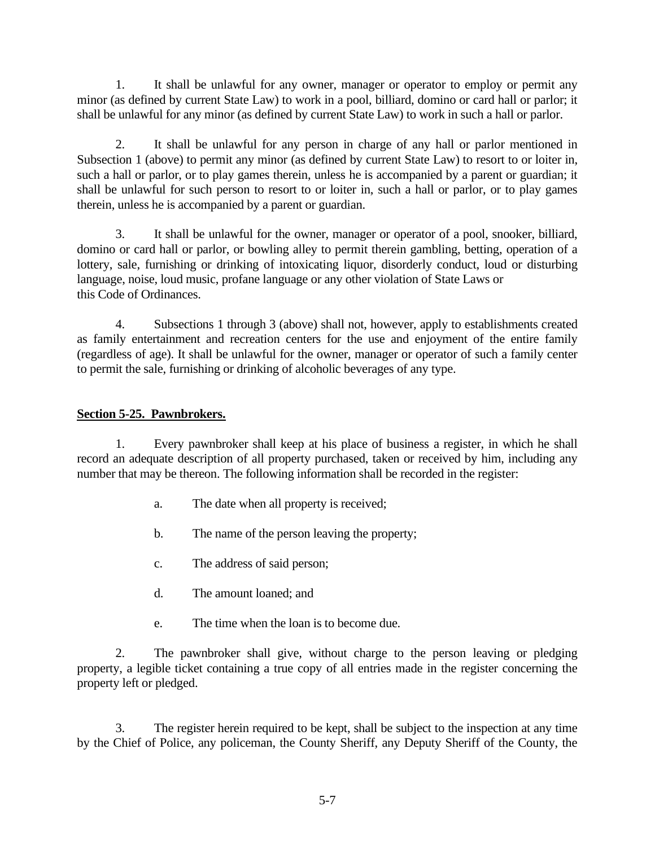1. It shall be unlawful for any owner, manager or operator to employ or permit any minor (as defined by current State Law) to work in a pool, billiard, domino or card hall or parlor; it shall be unlawful for any minor (as defined by current State Law) to work in such a hall or parlor.

2. It shall be unlawful for any person in charge of any hall or parlor mentioned in Subsection 1 (above) to permit any minor (as defined by current State Law) to resort to or loiter in, such a hall or parlor, or to play games therein, unless he is accompanied by a parent or guardian; it shall be unlawful for such person to resort to or loiter in, such a hall or parlor, or to play games therein, unless he is accompanied by a parent or guardian.

3. It shall be unlawful for the owner, manager or operator of a pool, snooker, billiard, domino or card hall or parlor, or bowling alley to permit therein gambling, betting, operation of a lottery, sale, furnishing or drinking of intoxicating liquor, disorderly conduct, loud or disturbing language, noise, loud music, profane language or any other violation of State Laws or this Code of Ordinances.

4. Subsections 1 through 3 (above) shall not, however, apply to establishments created as family entertainment and recreation centers for the use and enjoyment of the entire family (regardless of age). It shall be unlawful for the owner, manager or operator of such a family center to permit the sale, furnishing or drinking of alcoholic beverages of any type.

## **Section 5-25. Pawnbrokers.**

1. Every pawnbroker shall keep at his place of business a register, in which he shall record an adequate description of all property purchased, taken or received by him, including any number that may be thereon. The following information shall be recorded in the register:

- a. The date when all property is received;
- b. The name of the person leaving the property;
- c. The address of said person;
- d. The amount loaned; and
- e. The time when the loan is to become due.

2. The pawnbroker shall give, without charge to the person leaving or pledging property, a legible ticket containing a true copy of all entries made in the register concerning the property left or pledged.

3. The register herein required to be kept, shall be subject to the inspection at any time by the Chief of Police, any policeman, the County Sheriff, any Deputy Sheriff of the County, the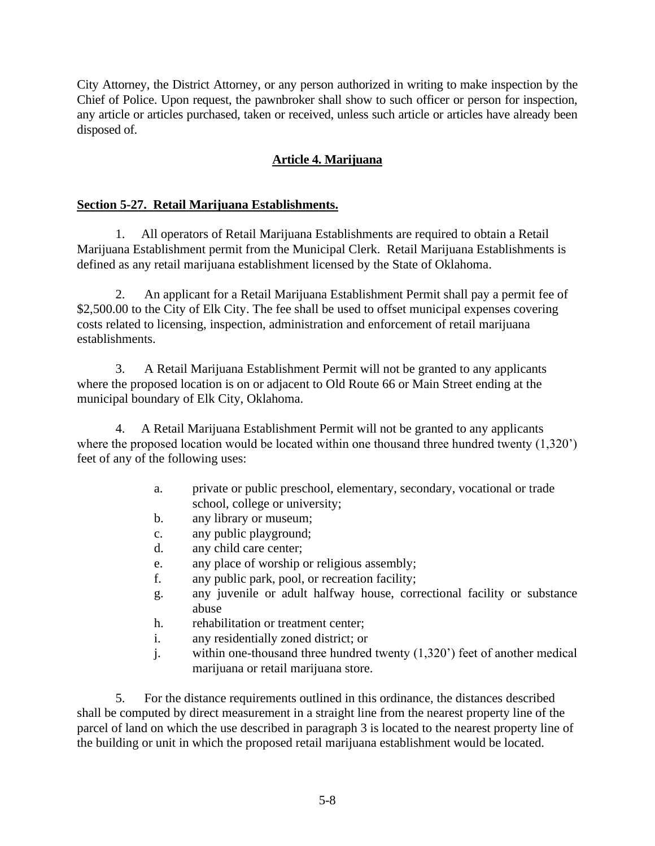City Attorney, the District Attorney, or any person authorized in writing to make inspection by the Chief of Police. Upon request, the pawnbroker shall show to such officer or person for inspection, any article or articles purchased, taken or received, unless such article or articles have already been disposed of.

# **Article 4. Marijuana**

# **Section 5-27. Retail Marijuana Establishments.**

1. All operators of Retail Marijuana Establishments are required to obtain a Retail Marijuana Establishment permit from the Municipal Clerk. Retail Marijuana Establishments is defined as any retail marijuana establishment licensed by the State of Oklahoma.

2. An applicant for a Retail Marijuana Establishment Permit shall pay a permit fee of \$2,500.00 to the City of Elk City. The fee shall be used to offset municipal expenses covering costs related to licensing, inspection, administration and enforcement of retail marijuana establishments.

3. A Retail Marijuana Establishment Permit will not be granted to any applicants where the proposed location is on or adjacent to Old Route 66 or Main Street ending at the municipal boundary of Elk City, Oklahoma.

4. A Retail Marijuana Establishment Permit will not be granted to any applicants where the proposed location would be located within one thousand three hundred twenty  $(1,320)$ feet of any of the following uses:

- a. private or public preschool, elementary, secondary, vocational or trade school, college or university;
- b. any library or museum;
- c. any public playground;
- d. any child care center;
- e. any place of worship or religious assembly;
- f. any public park, pool, or recreation facility;
- g. any juvenile or adult halfway house, correctional facility or substance abuse
- h. rehabilitation or treatment center;
- i. any residentially zoned district; or
- j. within one-thousand three hundred twenty (1,320') feet of another medical marijuana or retail marijuana store.

5. For the distance requirements outlined in this ordinance, the distances described shall be computed by direct measurement in a straight line from the nearest property line of the parcel of land on which the use described in paragraph 3 is located to the nearest property line of the building or unit in which the proposed retail marijuana establishment would be located.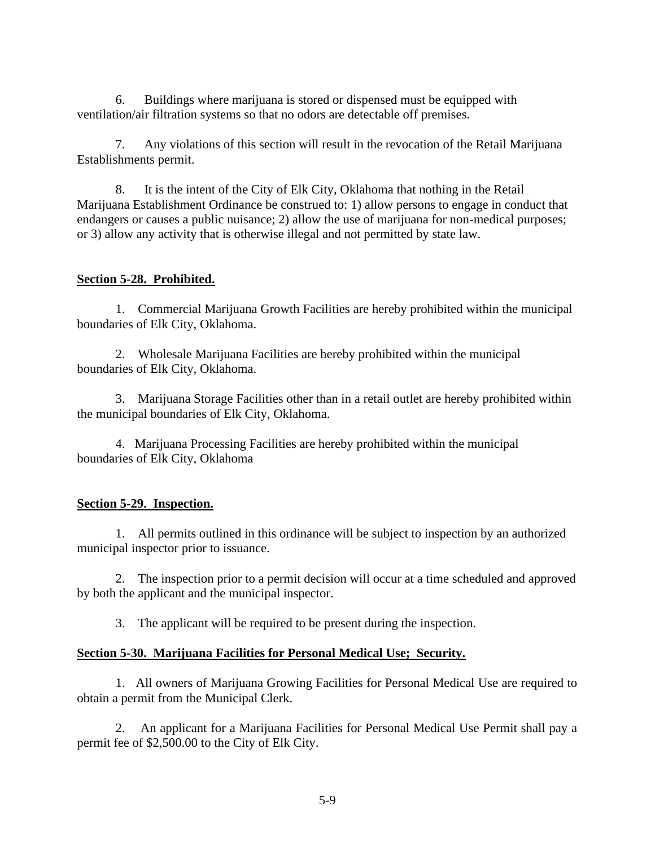6. Buildings where marijuana is stored or dispensed must be equipped with ventilation/air filtration systems so that no odors are detectable off premises.

7. Any violations of this section will result in the revocation of the Retail Marijuana Establishments permit.

8. It is the intent of the City of Elk City, Oklahoma that nothing in the Retail Marijuana Establishment Ordinance be construed to: 1) allow persons to engage in conduct that endangers or causes a public nuisance; 2) allow the use of marijuana for non-medical purposes; or 3) allow any activity that is otherwise illegal and not permitted by state law.

## **Section 5-28. Prohibited.**

1. Commercial Marijuana Growth Facilities are hereby prohibited within the municipal boundaries of Elk City, Oklahoma.

2. Wholesale Marijuana Facilities are hereby prohibited within the municipal boundaries of Elk City, Oklahoma.

3. Marijuana Storage Facilities other than in a retail outlet are hereby prohibited within the municipal boundaries of Elk City, Oklahoma.

4. Marijuana Processing Facilities are hereby prohibited within the municipal boundaries of Elk City, Oklahoma

# **Section 5-29. Inspection.**

1. All permits outlined in this ordinance will be subject to inspection by an authorized municipal inspector prior to issuance.

2. The inspection prior to a permit decision will occur at a time scheduled and approved by both the applicant and the municipal inspector.

3. The applicant will be required to be present during the inspection.

## **Section 5-30. Marijuana Facilities for Personal Medical Use; Security.**

1. All owners of Marijuana Growing Facilities for Personal Medical Use are required to obtain a permit from the Municipal Clerk.

2. An applicant for a Marijuana Facilities for Personal Medical Use Permit shall pay a permit fee of \$2,500.00 to the City of Elk City.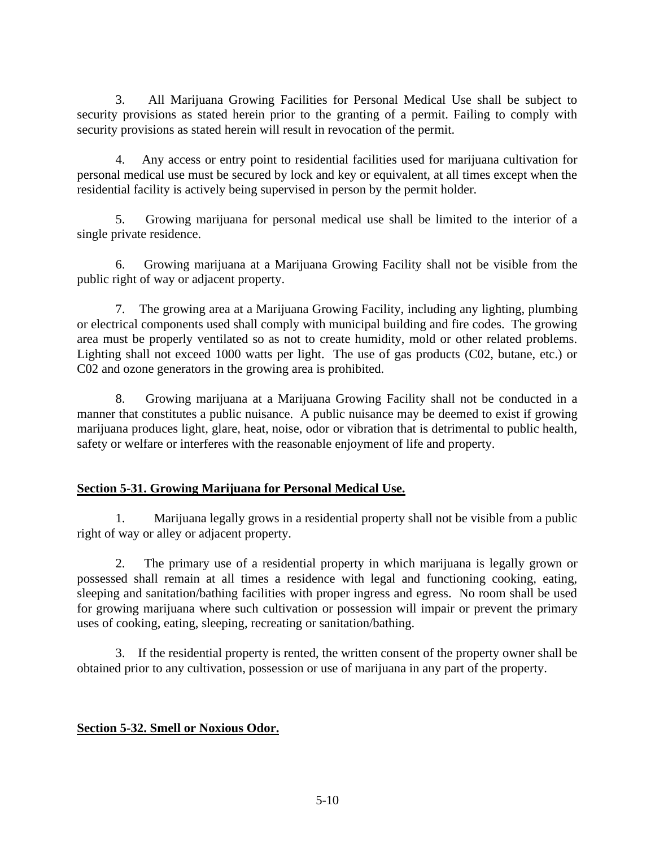3. All Marijuana Growing Facilities for Personal Medical Use shall be subject to security provisions as stated herein prior to the granting of a permit. Failing to comply with security provisions as stated herein will result in revocation of the permit.

4. Any access or entry point to residential facilities used for marijuana cultivation for personal medical use must be secured by lock and key or equivalent, at all times except when the residential facility is actively being supervised in person by the permit holder.

5. Growing marijuana for personal medical use shall be limited to the interior of a single private residence.

6. Growing marijuana at a Marijuana Growing Facility shall not be visible from the public right of way or adjacent property.

7. The growing area at a Marijuana Growing Facility, including any lighting, plumbing or electrical components used shall comply with municipal building and fire codes. The growing area must be properly ventilated so as not to create humidity, mold or other related problems. Lighting shall not exceed 1000 watts per light. The use of gas products (C02, butane, etc.) or C02 and ozone generators in the growing area is prohibited.

8. Growing marijuana at a Marijuana Growing Facility shall not be conducted in a manner that constitutes a public nuisance. A public nuisance may be deemed to exist if growing marijuana produces light, glare, heat, noise, odor or vibration that is detrimental to public health, safety or welfare or interferes with the reasonable enjoyment of life and property.

# **Section 5-31. Growing Marijuana for Personal Medical Use.**

1. Marijuana legally grows in a residential property shall not be visible from a public right of way or alley or adjacent property.

2. The primary use of a residential property in which marijuana is legally grown or possessed shall remain at all times a residence with legal and functioning cooking, eating, sleeping and sanitation/bathing facilities with proper ingress and egress. No room shall be used for growing marijuana where such cultivation or possession will impair or prevent the primary uses of cooking, eating, sleeping, recreating or sanitation/bathing.

3. If the residential property is rented, the written consent of the property owner shall be obtained prior to any cultivation, possession or use of marijuana in any part of the property.

## **Section 5-32. Smell or Noxious Odor.**